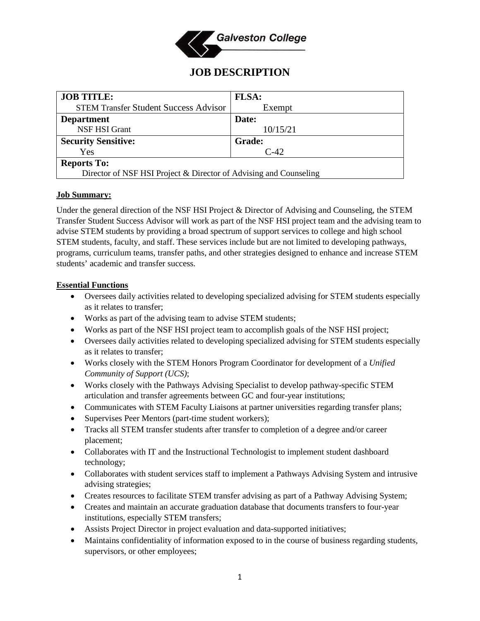

# **JOB DESCRIPTION**

| <b>JOB TITLE:</b>                                                 | <b>FLSA:</b>  |
|-------------------------------------------------------------------|---------------|
| <b>STEM Transfer Student Success Advisor</b>                      | Exempt        |
| <b>Department</b>                                                 | Date:         |
| <b>NSF HSI Grant</b>                                              | 10/15/21      |
| <b>Security Sensitive:</b>                                        | <b>Grade:</b> |
| Yes                                                               | $C-42$        |
| <b>Reports To:</b>                                                |               |
| Director of NSF HSI Project & Director of Advising and Counseling |               |

#### **Job Summary:**

Under the general direction of the NSF HSI Project & Director of Advising and Counseling, the STEM Transfer Student Success Advisor will work as part of the NSF HSI project team and the advising team to advise STEM students by providing a broad spectrum of support services to college and high school STEM students, faculty, and staff. These services include but are not limited to developing pathways, programs, curriculum teams, transfer paths, and other strategies designed to enhance and increase STEM students' academic and transfer success.

#### **Essential Functions**

- Oversees daily activities related to developing specialized advising for STEM students especially as it relates to transfer;
- Works as part of the advising team to advise STEM students;
- Works as part of the NSF HSI project team to accomplish goals of the NSF HSI project;
- Oversees daily activities related to developing specialized advising for STEM students especially as it relates to transfer;
- Works closely with the STEM Honors Program Coordinator for development of a *Unified Community of Support (UCS)*;
- Works closely with the Pathways Advising Specialist to develop pathway-specific STEM articulation and transfer agreements between GC and four-year institutions;
- Communicates with STEM Faculty Liaisons at partner universities regarding transfer plans;
- Supervises Peer Mentors (part-time student workers);
- Tracks all STEM transfer students after transfer to completion of a degree and/or career placement;
- Collaborates with IT and the Instructional Technologist to implement student dashboard technology;
- Collaborates with student services staff to implement a Pathways Advising System and intrusive advising strategies;
- Creates resources to facilitate STEM transfer advising as part of a Pathway Advising System;
- Creates and maintain an accurate graduation database that documents transfers to four-year institutions, especially STEM transfers;
- Assists Project Director in project evaluation and data-supported initiatives;
- Maintains confidentiality of information exposed to in the course of business regarding students, supervisors, or other employees;